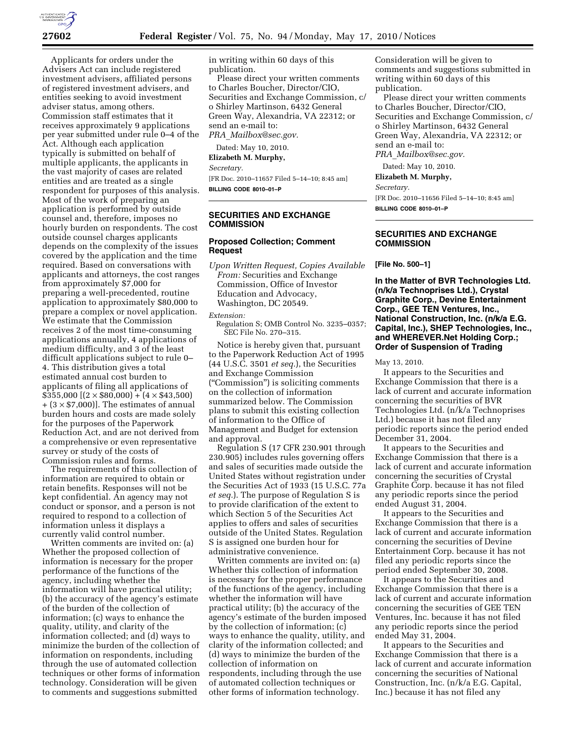

Applicants for orders under the Advisers Act can include registered investment advisers, affiliated persons of registered investment advisers, and entities seeking to avoid investment adviser status, among others. Commission staff estimates that it receives approximately 9 applications per year submitted under rule 0–4 of the Act. Although each application typically is submitted on behalf of multiple applicants, the applicants in the vast majority of cases are related entities and are treated as a single respondent for purposes of this analysis. Most of the work of preparing an application is performed by outside counsel and, therefore, imposes no hourly burden on respondents. The cost outside counsel charges applicants depends on the complexity of the issues covered by the application and the time required. Based on conversations with applicants and attorneys, the cost ranges from approximately \$7,000 for preparing a well-precedented, routine application to approximately \$80,000 to prepare a complex or novel application. We estimate that the Commission receives 2 of the most time-consuming applications annually, 4 applications of medium difficulty, and 3 of the least difficult applications subject to rule 0– 4. This distribution gives a total estimated annual cost burden to applicants of filing all applications of  $$3\overline{5}5,000$  [ $(2 \times $80,000) + (4 \times $43,500)$  $+(3 \times \$7,000)$ . The estimates of annual burden hours and costs are made solely for the purposes of the Paperwork Reduction Act, and are not derived from a comprehensive or even representative survey or study of the costs of Commission rules and forms.

The requirements of this collection of information are required to obtain or retain benefits. Responses will not be kept confidential. An agency may not conduct or sponsor, and a person is not required to respond to a collection of information unless it displays a currently valid control number.

Written comments are invited on: (a) Whether the proposed collection of information is necessary for the proper performance of the functions of the agency, including whether the information will have practical utility; (b) the accuracy of the agency's estimate of the burden of the collection of information; (c) ways to enhance the quality, utility, and clarity of the information collected; and (d) ways to minimize the burden of the collection of information on respondents, including through the use of automated collection techniques or other forms of information technology. Consideration will be given to comments and suggestions submitted

in writing within 60 days of this publication.

Please direct your written comments to Charles Boucher, Director/CIO, Securities and Exchange Commission, c/ o Shirley Martinson, 6432 General Green Way, Alexandria, VA 22312; or send an e-mail to: *PRA*\_*Mailbox@sec.gov.* 

Dated: May 10, 2010.

**Elizabeth M. Murphy,** 

*Secretary.* 

[FR Doc. 2010–11657 Filed 5–14–10; 8:45 am] **BILLING CODE 8010–01–P** 

#### **SECURITIES AND EXCHANGE COMMISSION**

# **Proposed Collection; Comment Request**

*Upon Written Request, Copies Available From:* Securities and Exchange Commission, Office of Investor Education and Advocacy, Washington, DC 20549.

*Extension:* 

Regulation S; OMB Control No. 3235–0357; SEC File No. 270–315.

Notice is hereby given that, pursuant to the Paperwork Reduction Act of 1995 (44 U.S.C. 3501 *et seq.*), the Securities and Exchange Commission (''Commission'') is soliciting comments on the collection of information summarized below. The Commission plans to submit this existing collection of information to the Office of Management and Budget for extension and approval.

Regulation S (17 CFR 230.901 through 230.905) includes rules governing offers and sales of securities made outside the United States without registration under the Securities Act of 1933 (15 U.S.C. 77a *et seq.*). The purpose of Regulation S is to provide clarification of the extent to which Section 5 of the Securities Act applies to offers and sales of securities outside of the United States. Regulation S is assigned one burden hour for administrative convenience.

Written comments are invited on: (a) Whether this collection of information is necessary for the proper performance of the functions of the agency, including whether the information will have practical utility; (b) the accuracy of the agency's estimate of the burden imposed by the collection of information; (c) ways to enhance the quality, utility, and clarity of the information collected; and (d) ways to minimize the burden of the collection of information on respondents, including through the use of automated collection techniques or other forms of information technology.

Consideration will be given to comments and suggestions submitted in writing within 60 days of this publication.

Please direct your written comments to Charles Boucher, Director/CIO, Securities and Exchange Commission, c/ o Shirley Martinson, 6432 General Green Way, Alexandria, VA 22312; or send an e-mail to: *PRA*\_*Mailbox@sec.gov.* 

Dated: May 10, 2010.

**Elizabeth M. Murphy,** 

*Secretary.* 

[FR Doc. 2010–11656 Filed 5–14–10; 8:45 am]

**BILLING CODE 8010–01–P** 

# **SECURITIES AND EXCHANGE COMMISSION**

**[File No. 500–1]** 

**In the Matter of BVR Technologies Ltd. (n/k/a Technoprises Ltd.), Crystal Graphite Corp., Devine Entertainment Corp., GEE TEN Ventures, Inc., National Construction, Inc. (n/k/a E.G. Capital, Inc.), SHEP Technologies, Inc., and WHEREVER.Net Holding Corp.; Order of Suspension of Trading** 

May 13, 2010.

It appears to the Securities and Exchange Commission that there is a lack of current and accurate information concerning the securities of BVR Technologies Ltd. (n/k/a Technoprises Ltd.) because it has not filed any periodic reports since the period ended December 31, 2004.

It appears to the Securities and Exchange Commission that there is a lack of current and accurate information concerning the securities of Crystal Graphite Corp. because it has not filed any periodic reports since the period ended August 31, 2004.

It appears to the Securities and Exchange Commission that there is a lack of current and accurate information concerning the securities of Devine Entertainment Corp. because it has not filed any periodic reports since the period ended September 30, 2008.

It appears to the Securities and Exchange Commission that there is a lack of current and accurate information concerning the securities of GEE TEN Ventures, Inc. because it has not filed any periodic reports since the period ended May 31, 2004.

It appears to the Securities and Exchange Commission that there is a lack of current and accurate information concerning the securities of National Construction, Inc. (n/k/a E.G. Capital, Inc.) because it has not filed any